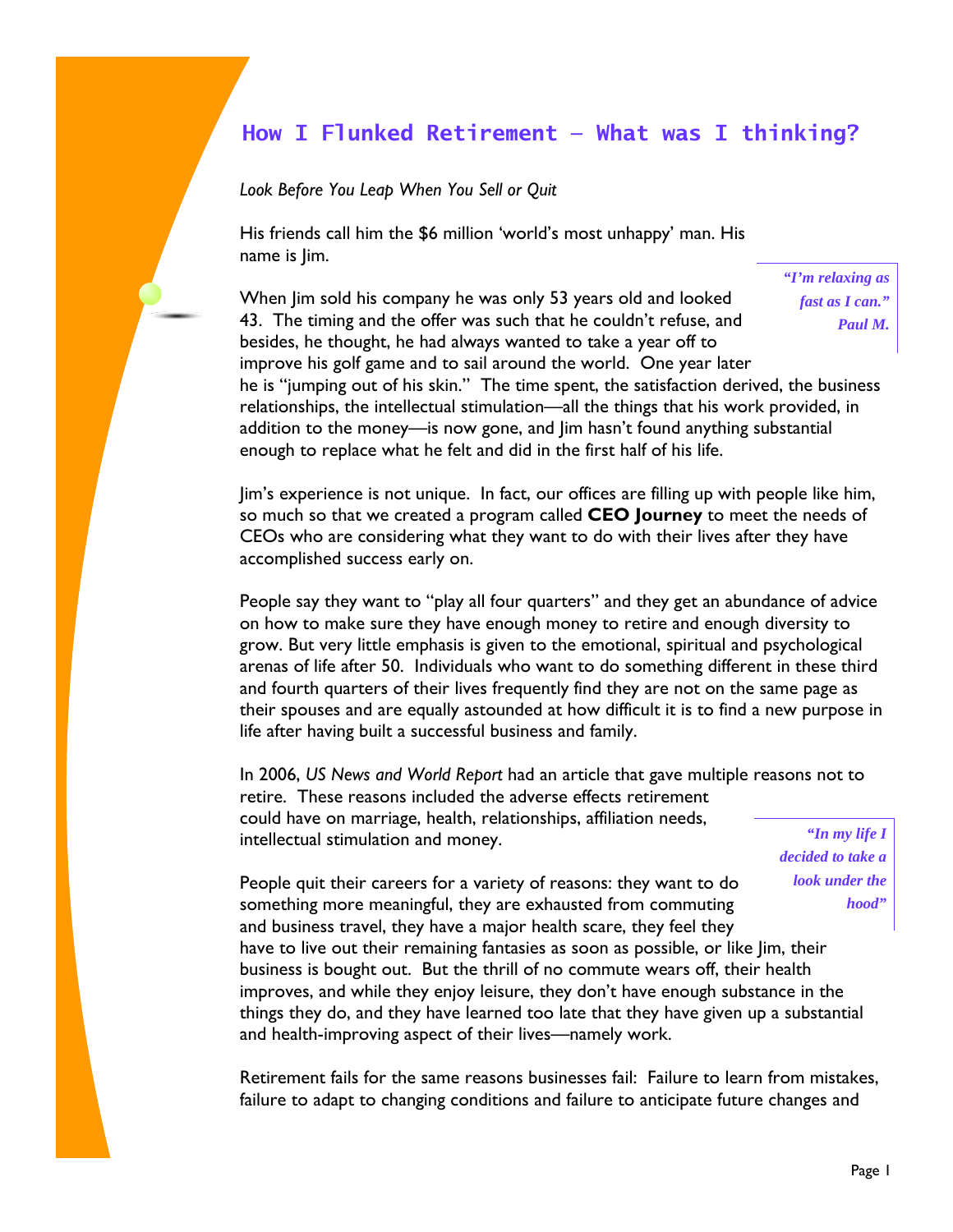## **How I Flunked Retirement — What was I thinking?**

*Look Before You Leap When You Sell or Quit* 

His friends call him the \$6 million 'world's most unhappy' man. His name is Jim.

> *"I'm relaxing as fast as I can." Paul M.*

When Jim sold his company he was only 53 years old and looked 43. The timing and the offer was such that he couldn't refuse, and besides, he thought, he had always wanted to take a year off to improve his golf game and to sail around the world. One year later he is "jumping out of his skin." The time spent, the satisfaction derived, the business relationships, the intellectual stimulation—all the things that his work provided, in addition to the money—is now gone, and Jim hasn't found anything substantial enough to replace what he felt and did in the first half of his life.

Jim's experience is not unique. In fact, our offices are filling up with people like him, so much so that we created a program called **CEO Journey** to meet the needs of CEOs who are considering what they want to do with their lives after they have accomplished success early on.

People say they want to "play all four quarters" and they get an abundance of advice on how to make sure they have enough money to retire and enough diversity to grow. But very little emphasis is given to the emotional, spiritual and psychological arenas of life after 50. Individuals who want to do something different in these third and fourth quarters of their lives frequently find they are not on the same page as their spouses and are equally astounded at how difficult it is to find a new purpose in life after having built a successful business and family.

In 2006, *US News and World Report* had an article that gave multiple reasons not to retire. These reasons included the adverse effects retirement could have on marriage, health, relationships, affiliation needs, intellectual stimulation and money.

*"In my life I decided to take a look under the hood"* 

People quit their careers for a variety of reasons: they want to do something more meaningful, they are exhausted from commuting and business travel, they have a major health scare, they feel they have to live out their remaining fantasies as soon as possible, or like Jim, their business is bought out. But the thrill of no commute wears off, their health improves, and while they enjoy leisure, they don't have enough substance in the things they do, and they have learned too late that they have given up a substantial and health-improving aspect of their lives—namely work.

Retirement fails for the same reasons businesses fail: Failure to learn from mistakes, failure to adapt to changing conditions and failure to anticipate future changes and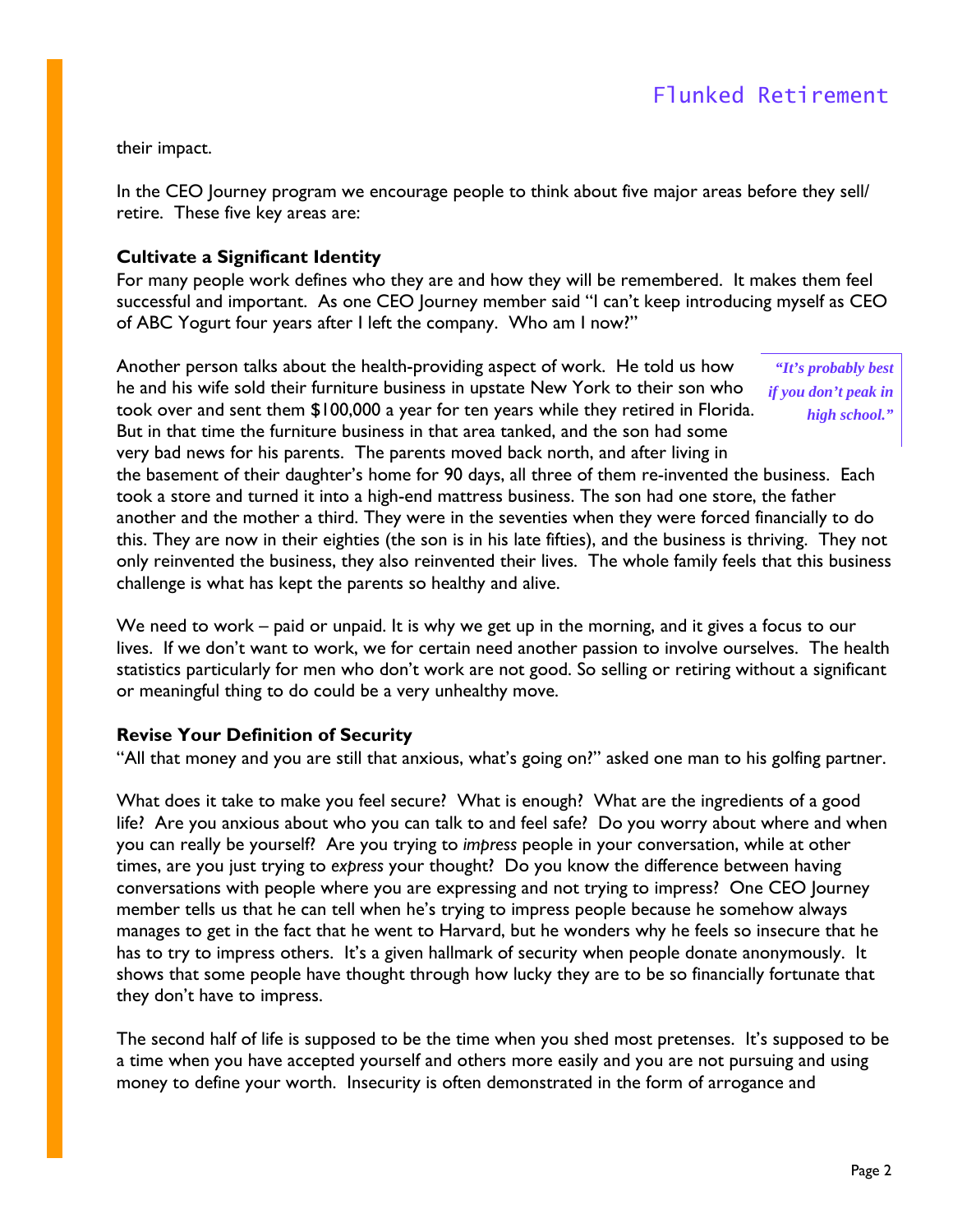their impact.

In the CEO Journey program we encourage people to think about five major areas before they sell/ retire. These five key areas are:

#### **Cultivate a Significant Identity**

For many people work defines who they are and how they will be remembered. It makes them feel successful and important. As one CEO Journey member said "I can't keep introducing myself as CEO of ABC Yogurt four years after I left the company. Who am I now?"

Another person talks about the health-providing aspect of work. He told us how he and his wife sold their furniture business in upstate New York to their son who took over and sent them \$100,000 a year for ten years while they retired in Florida. But in that time the furniture business in that area tanked, and the son had some very bad news for his parents. The parents moved back north, and after living in

*"It's probably best if you don't peak in high school."* 

the basement of their daughter's home for 90 days, all three of them re-invented the business. Each took a store and turned it into a high-end mattress business. The son had one store, the father another and the mother a third. They were in the seventies when they were forced financially to do this. They are now in their eighties (the son is in his late fifties), and the business is thriving. They not only reinvented the business, they also reinvented their lives. The whole family feels that this business challenge is what has kept the parents so healthy and alive.

We need to work – paid or unpaid. It is why we get up in the morning, and it gives a focus to our lives. If we don't want to work, we for certain need another passion to involve ourselves. The health statistics particularly for men who don't work are not good. So selling or retiring without a significant or meaningful thing to do could be a very unhealthy move.

#### **Revise Your Definition of Security**

"All that money and you are still that anxious, what's going on?" asked one man to his golfing partner.

What does it take to make you feel secure? What is enough? What are the ingredients of a good life? Are you anxious about who you can talk to and feel safe? Do you worry about where and when you can really be yourself? Are you trying to *impress* people in your conversation, while at other times, are you just trying to *express* your thought? Do you know the difference between having conversations with people where you are expressing and not trying to impress? One CEO Journey member tells us that he can tell when he's trying to impress people because he somehow always manages to get in the fact that he went to Harvard, but he wonders why he feels so insecure that he has to try to impress others. It's a given hallmark of security when people donate anonymously. It shows that some people have thought through how lucky they are to be so financially fortunate that they don't have to impress.

The second half of life is supposed to be the time when you shed most pretenses. It's supposed to be a time when you have accepted yourself and others more easily and you are not pursuing and using money to define your worth. Insecurity is often demonstrated in the form of arrogance and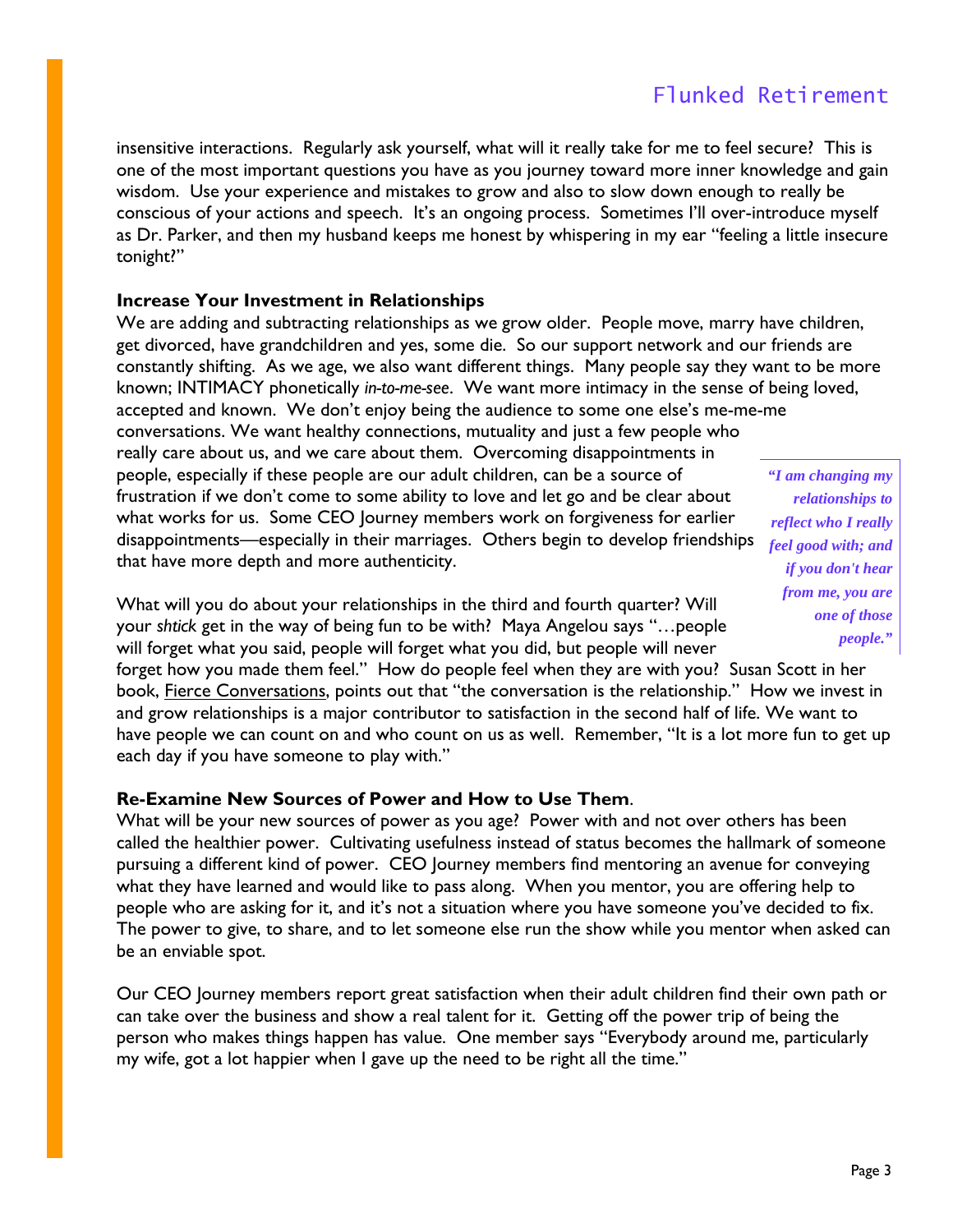insensitive interactions. Regularly ask yourself, what will it really take for me to feel secure? This is one of the most important questions you have as you journey toward more inner knowledge and gain wisdom. Use your experience and mistakes to grow and also to slow down enough to really be conscious of your actions and speech. It's an ongoing process. Sometimes I'll over-introduce myself as Dr. Parker, and then my husband keeps me honest by whispering in my ear "feeling a little insecure tonight?"

#### **Increase Your Investment in Relationships**

We are adding and subtracting relationships as we grow older. People move, marry have children, get divorced, have grandchildren and yes, some die. So our support network and our friends are constantly shifting. As we age, we also want different things. Many people say they want to be more known; INTIMACY phonetically *in-to-me-see*. We want more intimacy in the sense of being loved, accepted and known. We don't enjoy being the audience to some one else's me-me-me conversations. We want healthy connections, mutuality and just a few people who really care about us, and we care about them. Overcoming disappointments in people, especially if these people are our adult children, can be a source of frustration if we don't come to some ability to love and let go and be clear about what works for us. Some CEO Journey members work on forgiveness for earlier disappointments—especially in their marriages. Others begin to develop friendships that have more depth and more authenticity. *"I am changing my* 

What will you do about your relationships in the third and fourth quarter? Will your *shtick* get in the way of being fun to be with? Maya Angelou says "…people will forget what you said, people will forget what you did, but people will never

forget how you made them feel." How do people feel when they are with you? Susan Scott in her book, Fierce Conversations, points out that "the conversation is the relationship." How we invest in and grow relationships is a major contributor to satisfaction in the second half of life. We want to have people we can count on and who count on us as well. Remember, "It is a lot more fun to get up each day if you have someone to play with."

### **Re-Examine New Sources of Power and How to Use Them**.

What will be your new sources of power as you age? Power with and not over others has been called the healthier power. Cultivating usefulness instead of status becomes the hallmark of someone pursuing a different kind of power. CEO Journey members find mentoring an avenue for conveying what they have learned and would like to pass along. When you mentor, you are offering help to people who are asking for it, and it's not a situation where you have someone you've decided to fix. The power to give, to share, and to let someone else run the show while you mentor when asked can be an enviable spot.

Our CEO Journey members report great satisfaction when their adult children find their own path or can take over the business and show a real talent for it. Getting off the power trip of being the person who makes things happen has value. One member says "Everybody around me, particularly my wife, got a lot happier when I gave up the need to be right all the time."

*relationships to reflect who I really feel good with; and if you don't hear from me, you are one of those people."*